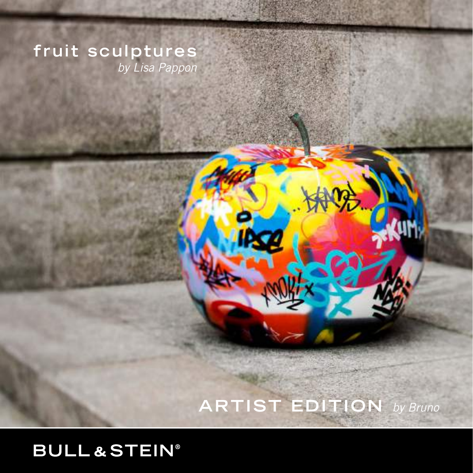## **BULL&STEIN®**

**fruit sculptures**

## **ARTIST EDITION** *by Bruno*

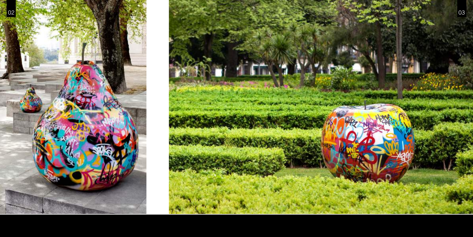

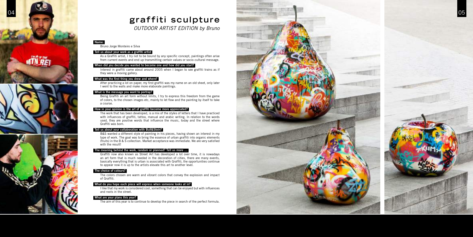#### Name:

Bruno Jorge Monteiro e Silva

#### Tell us about your work as a graffiti artist

As a Graffiti artist, I try not to be bound by any specific concept, paintings often arise from current events and end up transmitting certain values or socio-cultural message.

#### When did you decide you wanted to become one and how did you start?

After practicing a lot  $\overline{on}$  paper, my first graffiti was my name on an old sheet, only later I went to the walls and make more elaborate paintings.

Interest in graffiti came about around 2005 when I began to see graffiti trains as if they were a moving gallery.

#### What was the first thing you drew and where?

#### What is the message you want to portray?

Being Graffiti an art form without limits, I try to express this freedom from the game of colors, to the chosen images etc, mainly to let flow and the painting by itself to take a course.

#### How in your opinion is the art of graffiti become more appreciated?

The work that has been developed, is a mix of the styles of letters that I have practiced with influences of graffiti, tattoo, manual and arabic writing. In relation to the words used, they are positive words that influence the music, today and the street where Graffiti was born.

#### Tell us about your collaboration with Bull&Stein?

B&S wanted a different style of painting in his pieces, having shown an interest in my type of work. The goal was to bring the essence of urban graffiti into organic elements (fruits) in the B &  $\overline{S}$  collection. Market acceptance was immediate. We are very satisfied with the result!

#### The meaning behind the work, random or planned? Tell us more ...

Graffiti now also known as Street Art has developed a lot over time, it is nowadays an art form that is much needed in the decoration of cities, there are many events, basically everything that is urban is associated with Graffiti, the opportunities continue to appear now it is up to the artists elevate this art to another level.

#### The choice of colours?

The colors chosen are warm and vibrant colors that convey the explosion and impact of Graffiti.

#### What do you hope each piece will express when someone looks at in?

I like that my work is considered cool, something that can be enjoyed but with influences and roots in the street.

#### What are your plans this year?

The aim of this year is to continue to develop the piece in search of the perfect formula.







# **g ra f fi ti sculp tu re**

*OUTDOOR ARTIST EDITION by Bruno*



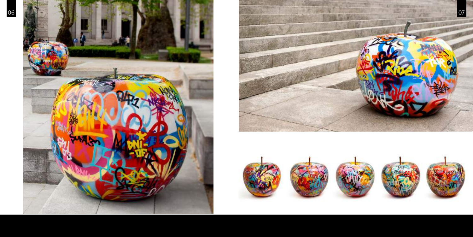